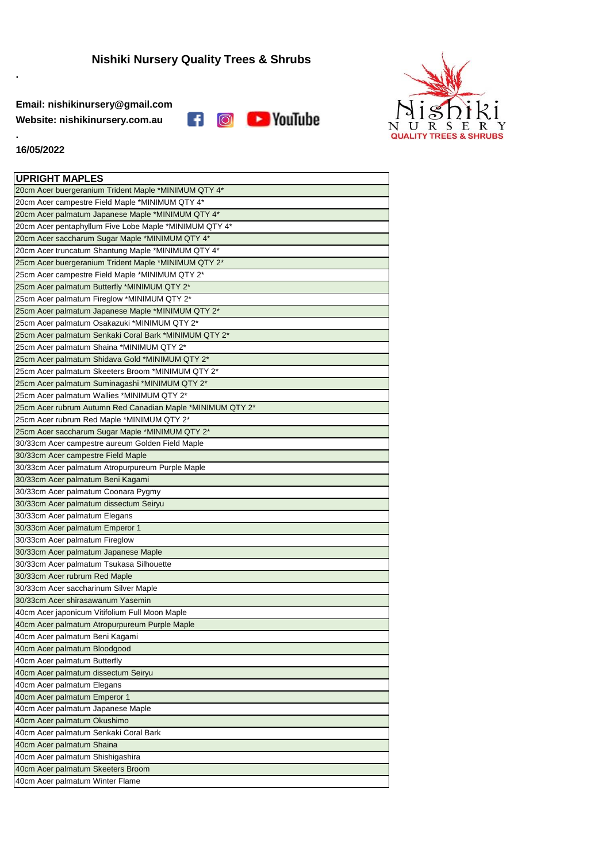**Email: nishikinursery@gmail.com Website: nishikinursery.com.au**





## **16/05/2022**

**.**

**.**

| <b>UPRIGHT MAPLES</b>                                      |
|------------------------------------------------------------|
| 20cm Acer buergeranium Trident Maple *MINIMUM QTY 4*       |
| 20cm Acer campestre Field Maple *MINIMUM QTY 4*            |
| 20cm Acer palmatum Japanese Maple *MINIMUM QTY 4*          |
| 20cm Acer pentaphyllum Five Lobe Maple *MINIMUM QTY 4*     |
| 20cm Acer saccharum Sugar Maple *MINIMUM QTY 4*            |
| 20cm Acer truncatum Shantung Maple *MINIMUM QTY 4*         |
| 25cm Acer buergeranium Trident Maple *MINIMUM QTY 2*       |
| 25cm Acer campestre Field Maple *MINIMUM QTY 2*            |
| 25cm Acer palmatum Butterfly *MINIMUM QTY 2*               |
| 25cm Acer palmatum Fireglow *MINIMUM QTY 2*                |
| 25cm Acer palmatum Japanese Maple *MINIMUM QTY 2*          |
| 25cm Acer palmatum Osakazuki *MINIMUM QTY 2*               |
| 25cm Acer palmatum Senkaki Coral Bark *MINIMUM QTY 2*      |
| 25cm Acer palmatum Shaina *MINIMUM QTY 2*                  |
| 25cm Acer palmatum Shidava Gold *MINIMUM QTY 2*            |
| 25cm Acer palmatum Skeeters Broom *MINIMUM QTY 2*          |
| 25cm Acer palmatum Suminagashi *MINIMUM QTY 2*             |
| 25cm Acer palmatum Wallies *MINIMUM QTY 2*                 |
| 25cm Acer rubrum Autumn Red Canadian Maple *MINIMUM QTY 2* |
| 25cm Acer rubrum Red Maple *MINIMUM QTY 2*                 |
| 25cm Acer saccharum Sugar Maple *MINIMUM QTY 2*            |
| 30/33cm Acer campestre aureum Golden Field Maple           |
| 30/33cm Acer campestre Field Maple                         |
| 30/33cm Acer palmatum Atropurpureum Purple Maple           |
| 30/33cm Acer palmatum Beni Kagami                          |
| 30/33cm Acer palmatum Coonara Pygmy                        |
| 30/33cm Acer palmatum dissectum Seiryu                     |
| 30/33cm Acer palmatum Elegans                              |
| 30/33cm Acer palmatum Emperor 1                            |
| 30/33cm Acer palmatum Fireglow                             |
| 30/33cm Acer palmatum Japanese Maple                       |
| 30/33cm Acer palmatum Tsukasa Silhouette                   |
| 30/33cm Acer rubrum Red Maple                              |
| 30/33cm Acer saccharinum Silver Maple                      |
| 30/33cm Acer shirasawanum Yasemin                          |
| 40cm Acer japonicum Vitifolium Full Moon Maple             |
| 40cm Acer palmatum Atropurpureum Purple Maple              |
| 40cm Acer palmatum Beni Kagami                             |
| 40cm Acer palmatum Bloodgood                               |
| 40cm Acer palmatum Butterfly                               |
| 40cm Acer palmatum dissectum Seiryu                        |
| 40cm Acer palmatum Elegans                                 |
| 40cm Acer palmatum Emperor 1                               |
| 40cm Acer palmatum Japanese Maple                          |
| 40cm Acer palmatum Okushimo                                |
| 40cm Acer palmatum Senkaki Coral Bark                      |
| 40cm Acer palmatum Shaina                                  |
| 40cm Acer palmatum Shishigashira                           |
| 40cm Acer palmatum Skeeters Broom                          |
| 40cm Acer palmatum Winter Flame                            |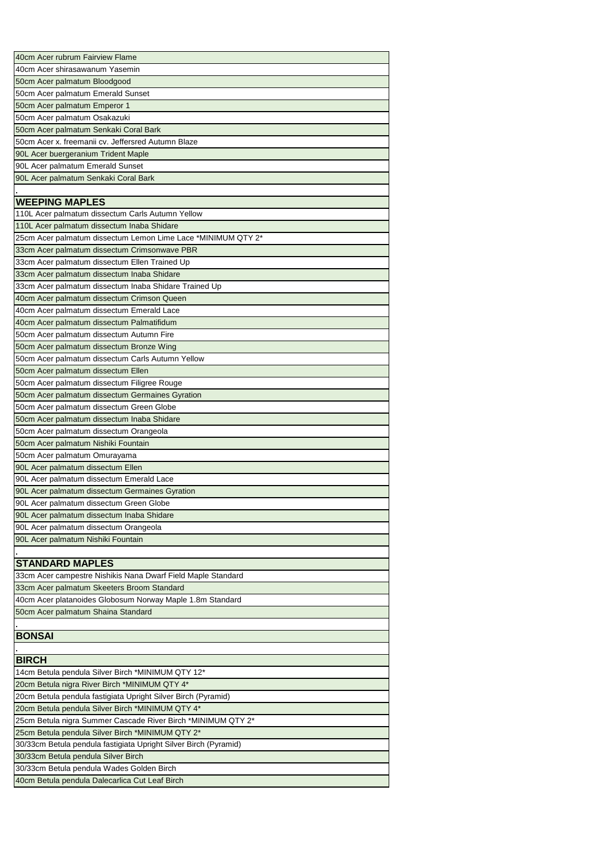| 40cm Acer rubrum Fairview Flame                                  |
|------------------------------------------------------------------|
| 40cm Acer shirasawanum Yasemin                                   |
|                                                                  |
| 50cm Acer palmatum Bloodgood                                     |
| 50cm Acer palmatum Emerald Sunset                                |
| 50cm Acer palmatum Emperor 1                                     |
| 50cm Acer palmatum Osakazuki                                     |
| 50cm Acer palmatum Senkaki Coral Bark                            |
| 50cm Acer x. freemanii cv. Jeffersred Autumn Blaze               |
| 90L Acer buergeranium Trident Maple                              |
| 90L Acer palmatum Emerald Sunset                                 |
| 90L Acer palmatum Senkaki Coral Bark                             |
|                                                                  |
| <b>WEEPING MAPLES</b>                                            |
| 110L Acer palmatum dissectum Carls Autumn Yellow                 |
| 110L Acer palmatum dissectum Inaba Shidare                       |
| 25cm Acer palmatum dissectum Lemon Lime Lace *MINIMUM QTY 2*     |
| 33cm Acer palmatum dissectum Crimsonwave PBR                     |
| 33cm Acer palmatum dissectum Ellen Trained Up                    |
| 33cm Acer palmatum dissectum Inaba Shidare                       |
| 33cm Acer palmatum dissectum Inaba Shidare Trained Up            |
| 40cm Acer palmatum dissectum Crimson Queen                       |
| 40cm Acer palmatum dissectum Emerald Lace                        |
| 40cm Acer palmatum dissectum Palmatifidum                        |
| 50cm Acer palmatum dissectum Autumn Fire                         |
| 50cm Acer palmatum dissectum Bronze Wing                         |
| 50cm Acer palmatum dissectum Carls Autumn Yellow                 |
| 50cm Acer palmatum dissectum Ellen                               |
| 50cm Acer palmatum dissectum Filigree Rouge                      |
| 50cm Acer palmatum dissectum Germaines Gyration                  |
| 50cm Acer palmatum dissectum Green Globe                         |
| 50cm Acer palmatum dissectum Inaba Shidare                       |
| 50cm Acer palmatum dissectum Orangeola                           |
| 50cm Acer palmatum Nishiki Fountain                              |
| 50cm Acer palmatum Omurayama                                     |
| 90L Acer palmatum dissectum Ellen                                |
| 90L Acer palmatum dissectum Emerald Lace                         |
| 90L Acer palmatum dissectum Germaines Gyration                   |
| 90L Acer palmatum dissectum Green Globe                          |
| 90L Acer palmatum dissectum Inaba Shidare                        |
| 90L Acer palmatum dissectum Orangeola                            |
| 90L Acer palmatum Nishiki Fountain                               |
|                                                                  |
| <b>STANDARD MAPLES</b>                                           |
| 33cm Acer campestre Nishikis Nana Dwarf Field Maple Standard     |
| 33cm Acer palmatum Skeeters Broom Standard                       |
| 40cm Acer platanoides Globosum Norway Maple 1.8m Standard        |
| 50cm Acer palmatum Shaina Standard                               |
|                                                                  |
| <b>BONSAI</b>                                                    |
|                                                                  |
| <b>BIRCH</b>                                                     |
| 14cm Betula pendula Silver Birch *MINIMUM QTY 12*                |
| 20cm Betula nigra River Birch *MINIMUM QTY 4*                    |
| 20cm Betula pendula fastigiata Upright Silver Birch (Pyramid)    |
| 20cm Betula pendula Silver Birch *MINIMUM QTY 4*                 |
| 25cm Betula nigra Summer Cascade River Birch *MINIMUM QTY 2*     |
| 25cm Betula pendula Silver Birch *MINIMUM QTY 2*                 |
| 30/33cm Betula pendula fastigiata Upright Silver Birch (Pyramid) |
| 30/33cm Betula pendula Silver Birch                              |
| 30/33cm Betula pendula Wades Golden Birch                        |
| 40cm Betula pendula Dalecarlica Cut Leaf Birch                   |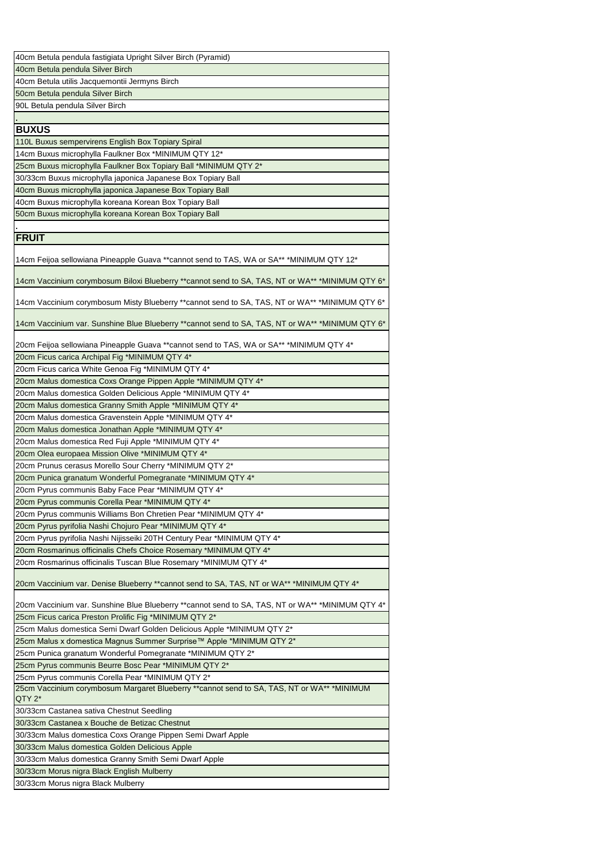| 40cm Betula pendula fastigiata Upright Silver Birch (Pyramid)                                        |
|------------------------------------------------------------------------------------------------------|
|                                                                                                      |
| 40cm Betula pendula Silver Birch                                                                     |
| 40cm Betula utilis Jacquemontii Jermyns Birch                                                        |
| 50cm Betula pendula Silver Birch                                                                     |
| 90L Betula pendula Silver Birch                                                                      |
|                                                                                                      |
| <b>BUXUS</b>                                                                                         |
| 110L Buxus sempervirens English Box Topiary Spiral                                                   |
| 14cm Buxus microphylla Faulkner Box *MINIMUM QTY 12*                                                 |
| 25cm Buxus microphylla Faulkner Box Topiary Ball *MINIMUM QTY 2*                                     |
| 30/33cm Buxus microphylla japonica Japanese Box Topiary Ball                                         |
| 40cm Buxus microphylla japonica Japanese Box Topiary Ball                                            |
| 40cm Buxus microphylla koreana Korean Box Topiary Ball                                               |
| 50cm Buxus microphylla koreana Korean Box Topiary Ball                                               |
|                                                                                                      |
| <b>FRUIT</b>                                                                                         |
|                                                                                                      |
| 14cm Feijoa sellowiana Pineapple Guava **cannot send to TAS, WA or SA** *MINIMUM QTY 12*             |
| 14cm Vaccinium corymbosum Biloxi Blueberry **cannot send to SA, TAS, NT or WA** *MINIMUM QTY 6*      |
| 14cm Vaccinium corymbosum Misty Blueberry **cannot send to SA, TAS, NT or WA** *MINIMUM QTY 6*       |
| 14cm Vaccinium var. Sunshine Blue Blueberry **cannot send to SA, TAS, NT or WA** *MINIMUM QTY 6*     |
| 20cm Feijoa sellowiana Pineapple Guava **cannot send to TAS, WA or SA** *MINIMUM QTY 4*              |
| 20cm Ficus carica Archipal Fig *MINIMUM QTY 4*                                                       |
| 20cm Ficus carica White Genoa Fig *MINIMUM QTY 4*                                                    |
| 20cm Malus domestica Coxs Orange Pippen Apple *MINIMUM QTY 4*                                        |
| 20cm Malus domestica Golden Delicious Apple *MINIMUM QTY 4*                                          |
| 20cm Malus domestica Granny Smith Apple *MINIMUM QTY 4*                                              |
| 20cm Malus domestica Gravenstein Apple *MINIMUM QTY 4*                                               |
| 20cm Malus domestica Jonathan Apple *MINIMUM QTY 4*                                                  |
| 20cm Malus domestica Red Fuji Apple *MINIMUM QTY 4*                                                  |
| 20cm Olea europaea Mission Olive *MINIMUM QTY 4*                                                     |
| 20cm Prunus cerasus Morello Sour Cherry *MINIMUM QTY 2*                                              |
| 20cm Punica granatum Wonderful Pomegranate *MINIMUM QTY 4*                                           |
| 20cm Pyrus communis Baby Face Pear *MINIMUM QTY 4*                                                   |
| 20cm Pyrus communis Corella Pear *MINIMUM QTY 4*                                                     |
| 20cm Pyrus communis Williams Bon Chretien Pear *MINIMUM QTY 4*                                       |
| 20cm Pyrus pyrifolia Nashi Chojuro Pear *MINIMUM QTY 4*                                              |
|                                                                                                      |
| 20cm Pyrus pyrifolia Nashi Nijisseiki 20TH Century Pear *MINIMUM QTY 4*                              |
| 20cm Rosmarinus officinalis Chefs Choice Rosemary *MINIMUM QTY 4*                                    |
| 20cm Rosmarinus officinalis Tuscan Blue Rosemary *MINIMUM QTY 4*                                     |
| 20cm Vaccinium var. Denise Blueberry **cannot send to SA, TAS, NT or WA** *MINIMUM QTY 4*            |
| 20cm Vaccinium var. Sunshine Blue Blueberry **cannot send to SA, TAS, NT or WA** *MINIMUM QTY 4*     |
| 25cm Ficus carica Preston Prolific Fig *MINIMUM QTY 2*                                               |
| 25cm Malus domestica Semi Dwarf Golden Delicious Apple *MINIMUM QTY 2*                               |
| 25cm Malus x domestica Magnus Summer Surprise™ Apple *MINIMUM QTY 2*                                 |
| 25cm Punica granatum Wonderful Pomegranate *MINIMUM QTY 2*                                           |
| 25cm Pyrus communis Beurre Bosc Pear *MINIMUM QTY 2*                                                 |
| 25cm Pyrus communis Corella Pear *MINIMUM QTY 2*                                                     |
| 25cm Vaccinium corymbosum Margaret Blueberry **cannot send to SA, TAS, NT or WA** *MINIMUM<br>QTY 2* |
| 30/33cm Castanea sativa Chestnut Seedling                                                            |
| 30/33cm Castanea x Bouche de Betizac Chestnut                                                        |
| 30/33cm Malus domestica Coxs Orange Pippen Semi Dwarf Apple                                          |
| 30/33cm Malus domestica Golden Delicious Apple                                                       |
| 30/33cm Malus domestica Granny Smith Semi Dwarf Apple                                                |
| 30/33cm Morus nigra Black English Mulberry                                                           |
| 30/33cm Morus nigra Black Mulberry                                                                   |
|                                                                                                      |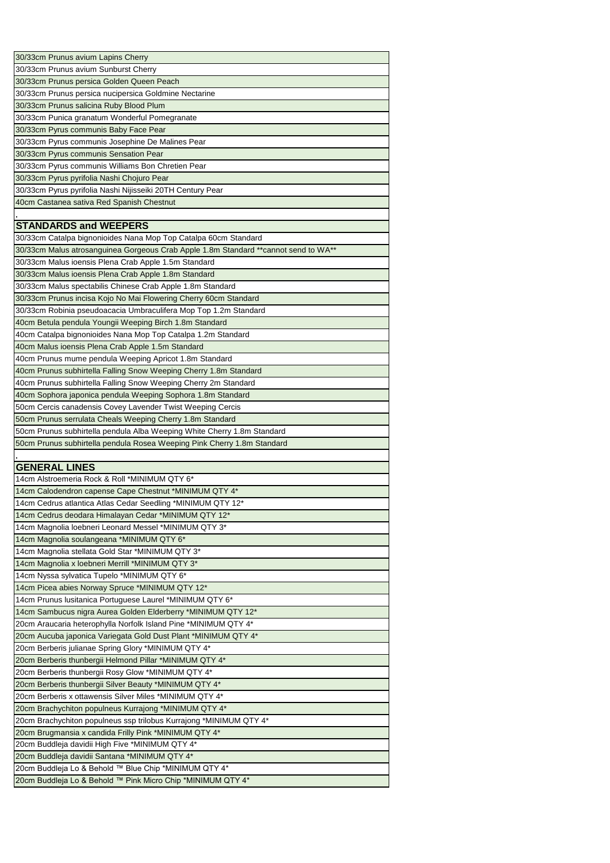| 30/33cm Prunus avium Lapins Cherry                                                                                   |
|----------------------------------------------------------------------------------------------------------------------|
| 30/33cm Prunus avium Sunburst Cherry                                                                                 |
| 30/33cm Prunus persica Golden Queen Peach                                                                            |
| 30/33cm Prunus persica nucipersica Goldmine Nectarine                                                                |
| 30/33cm Prunus salicina Ruby Blood Plum                                                                              |
| 30/33cm Punica granatum Wonderful Pomegranate                                                                        |
| 30/33cm Pyrus communis Baby Face Pear                                                                                |
| 30/33cm Pyrus communis Josephine De Malines Pear                                                                     |
| 30/33cm Pyrus communis Sensation Pear                                                                                |
| 30/33cm Pyrus communis Williams Bon Chretien Pear                                                                    |
| 30/33cm Pyrus pyrifolia Nashi Chojuro Pear                                                                           |
| 30/33cm Pyrus pyrifolia Nashi Nijisseiki 20TH Century Pear                                                           |
| 40cm Castanea sativa Red Spanish Chestnut                                                                            |
|                                                                                                                      |
| <b>STANDARDS and WEEPERS</b>                                                                                         |
| 30/33cm Catalpa bignonioides Nana Mop Top Catalpa 60cm Standard                                                      |
| 30/33cm Malus atrosanguinea Gorgeous Crab Apple 1.8m Standard ** cannot send to WA**                                 |
| 30/33cm Malus ioensis Plena Crab Apple 1.5m Standard                                                                 |
| 30/33cm Malus ioensis Plena Crab Apple 1.8m Standard                                                                 |
| 30/33cm Malus spectabilis Chinese Crab Apple 1.8m Standard                                                           |
| 30/33cm Prunus incisa Kojo No Mai Flowering Cherry 60cm Standard                                                     |
| 30/33cm Robinia pseudoacacia Umbraculifera Mop Top 1.2m Standard                                                     |
| 40cm Betula pendula Youngii Weeping Birch 1.8m Standard                                                              |
| 40cm Catalpa bignonioides Nana Mop Top Catalpa 1.2m Standard                                                         |
| 40cm Malus ioensis Plena Crab Apple 1.5m Standard                                                                    |
| 40cm Prunus mume pendula Weeping Apricot 1.8m Standard                                                               |
| 40cm Prunus subhirtella Falling Snow Weeping Cherry 1.8m Standard                                                    |
| 40cm Prunus subhirtella Falling Snow Weeping Cherry 2m Standard                                                      |
| 40cm Sophora japonica pendula Weeping Sophora 1.8m Standard                                                          |
| 50cm Cercis canadensis Covey Lavender Twist Weeping Cercis                                                           |
| 50cm Prunus serrulata Cheals Weeping Cherry 1.8m Standard                                                            |
| 50cm Prunus subhirtella pendula Alba Weeping White Cherry 1.8m Standard                                              |
| 50cm Prunus subhirtella pendula Rosea Weeping Pink Cherry 1.8m Standard                                              |
|                                                                                                                      |
|                                                                                                                      |
|                                                                                                                      |
| <b>GENERAL LINES</b>                                                                                                 |
| 14cm Alstroemeria Rock & Roll *MINIMUM QTY 6*                                                                        |
| 14cm Calodendron capense Cape Chestnut *MINIMUM QTY 4*                                                               |
| 14cm Cedrus atlantica Atlas Cedar Seedling *MINIMUM QTY 12*                                                          |
| 14cm Cedrus deodara Himalayan Cedar *MINIMUM QTY 12*                                                                 |
| 14cm Magnolia loebneri Leonard Messel *MINIMUM QTY 3*                                                                |
| 14cm Magnolia soulangeana *MINIMUM QTY 6*                                                                            |
| 14cm Magnolia stellata Gold Star *MINIMUM QTY 3*                                                                     |
| 14cm Magnolia x loebneri Merrill *MINIMUM QTY 3*                                                                     |
| 14cm Nyssa sylvatica Tupelo *MINIMUM QTY 6*                                                                          |
| 14cm Picea abies Norway Spruce *MINIMUM QTY 12*                                                                      |
| 14cm Prunus Iusitanica Portuguese Laurel *MINIMUM QTY 6*                                                             |
| 14cm Sambucus nigra Aurea Golden Elderberry *MINIMUM QTY 12*                                                         |
| 20cm Araucaria heterophylla Norfolk Island Pine *MINIMUM QTY 4*                                                      |
| 20cm Aucuba japonica Variegata Gold Dust Plant *MINIMUM QTY 4*                                                       |
| 20cm Berberis julianae Spring Glory *MINIMUM QTY 4*                                                                  |
| 20cm Berberis thunbergii Helmond Pillar *MINIMUM QTY 4*                                                              |
| 20cm Berberis thunbergii Rosy Glow *MINIMUM QTY 4*                                                                   |
| 20cm Berberis thunbergii Silver Beauty *MINIMUM QTY 4*                                                               |
| 20cm Berberis x ottawensis Silver Miles *MINIMUM QTY 4*                                                              |
| 20cm Brachychiton populneus Kurrajong *MINIMUM QTY 4*                                                                |
| 20cm Brachychiton populneus ssp trilobus Kurrajong *MINIMUM QTY 4*                                                   |
| 20cm Brugmansia x candida Frilly Pink *MINIMUM QTY 4*                                                                |
| 20cm Buddleja davidii High Five *MINIMUM QTY 4*                                                                      |
| 20cm Buddleja davidii Santana *MINIMUM QTY 4*                                                                        |
| 20cm Buddleja Lo & Behold ™ Blue Chip *MINIMUM QTY 4*<br>20cm Buddleja Lo & Behold ™ Pink Micro Chip *MINIMUM QTY 4* |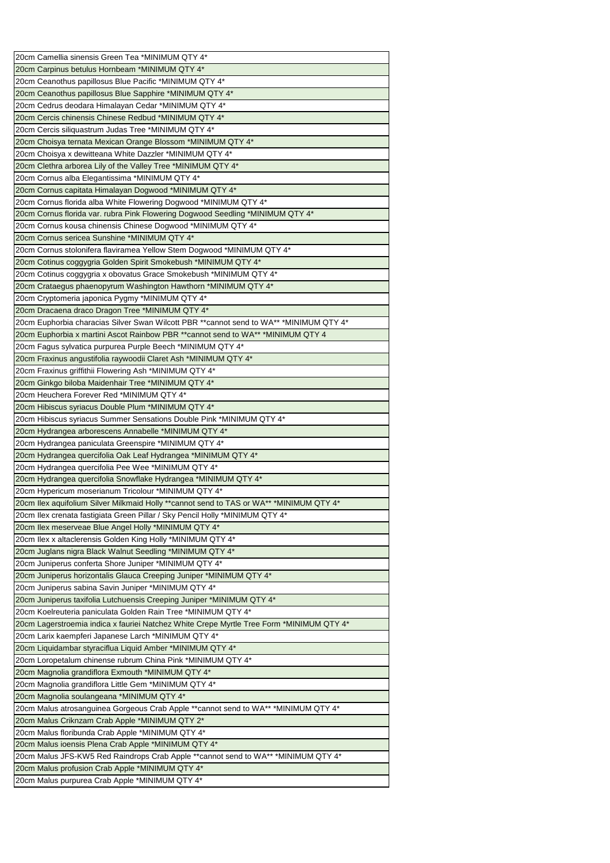| 20cm Camellia sinensis Green Tea *MINIMUM QTY 4*                                                  |
|---------------------------------------------------------------------------------------------------|
| 20cm Carpinus betulus Hornbeam *MINIMUM QTY 4*                                                    |
| 20cm Ceanothus papillosus Blue Pacific *MINIMUM QTY 4*                                            |
| 20cm Ceanothus papillosus Blue Sapphire *MINIMUM QTY 4*                                           |
| 20cm Cedrus deodara Himalayan Cedar *MINIMUM QTY 4*                                               |
| 20cm Cercis chinensis Chinese Redbud *MINIMUM QTY 4*                                              |
| 20cm Cercis siliquastrum Judas Tree *MINIMUM QTY 4*                                               |
| 20cm Choisya ternata Mexican Orange Blossom *MINIMUM QTY 4*                                       |
| 20cm Choisya x dewitteana White Dazzler *MINIMUM QTY 4*                                           |
| 20cm Clethra arborea Lily of the Valley Tree *MINIMUM QTY 4*                                      |
| 20cm Cornus alba Elegantissima *MINIMUM QTY 4*                                                    |
| 20cm Cornus capitata Himalayan Dogwood *MINIMUM QTY 4*                                            |
| 20cm Cornus florida alba White Flowering Dogwood *MINIMUM QTY 4*                                  |
| 20cm Cornus florida var. rubra Pink Flowering Dogwood Seedling *MINIMUM QTY 4*                    |
| 20cm Cornus kousa chinensis Chinese Dogwood *MINIMUM QTY 4*                                       |
| 20cm Cornus sericea Sunshine *MINIMUM QTY 4*                                                      |
| 20cm Cornus stolonifera flaviramea Yellow Stem Dogwood *MINIMUM QTY 4*                            |
| 20cm Cotinus coggygria Golden Spirit Smokebush *MINIMUM QTY 4*                                    |
| 20cm Cotinus coggygria x obovatus Grace Smokebush *MINIMUM QTY 4*                                 |
|                                                                                                   |
| 20cm Crataegus phaenopyrum Washington Hawthorn *MINIMUM QTY 4*                                    |
| 20cm Cryptomeria japonica Pygmy *MINIMUM QTY 4*                                                   |
| 20cm Dracaena draco Dragon Tree *MINIMUM QTY 4*                                                   |
| 20cm Euphorbia characias Silver Swan Wilcott PBR **cannot send to WA** *MINIMUM QTY 4*            |
| 20cm Euphorbia x martini Ascot Rainbow PBR ** cannot send to WA** * MINIMUM QTY 4                 |
| 20cm Fagus sylvatica purpurea Purple Beech *MINIMUM QTY 4*                                        |
| 20cm Fraxinus angustifolia raywoodii Claret Ash *MINIMUM QTY 4*                                   |
| 20cm Fraxinus griffithii Flowering Ash *MINIMUM QTY 4*                                            |
| 20cm Ginkgo biloba Maidenhair Tree *MINIMUM QTY 4*                                                |
| 20cm Heuchera Forever Red *MINIMUM QTY 4*                                                         |
| 20cm Hibiscus syriacus Double Plum *MINIMUM QTY 4*                                                |
| 20cm Hibiscus syriacus Summer Sensations Double Pink *MINIMUM QTY 4*                              |
| 20cm Hydrangea arborescens Annabelle *MINIMUM QTY 4*                                              |
| 20cm Hydrangea paniculata Greenspire *MINIMUM QTY 4*                                              |
| 20cm Hydrangea quercifolia Oak Leaf Hydrangea *MINIMUM QTY 4*                                     |
| 20cm Hydrangea quercifolia Pee Wee *MINIMUM QTY 4*                                                |
| 20cm Hydrangea quercifolia Snowflake Hydrangea *MINIMUM QTY 4*                                    |
|                                                                                                   |
| 20cm Hypericum moserianum Tricolour *MINIMUM QTY 4*                                               |
| 20cm Ilex aquifolium Silver Milkmaid Holly ** cannot send to TAS or WA** * MINIMUM QTY 4*         |
| 20cm Ilex crenata fastigiata Green Pillar / Sky Pencil Holly *MINIMUM QTY 4*                      |
| 20cm Ilex meserveae Blue Angel Holly *MINIMUM QTY 4*                                              |
| 20cm Ilex x altaclerensis Golden King Holly *MINIMUM QTY 4*                                       |
| 20cm Juglans nigra Black Walnut Seedling *MINIMUM QTY 4*                                          |
| 20cm Juniperus conferta Shore Juniper *MINIMUM QTY 4*                                             |
| 20cm Juniperus horizontalis Glauca Creeping Juniper *MINIMUM QTY 4*                               |
|                                                                                                   |
| 20cm Juniperus sabina Savin Juniper *MINIMUM QTY 4*                                               |
| 20cm Juniperus taxifolia Lutchuensis Creeping Juniper *MINIMUM QTY 4*                             |
| 20cm Koelreuteria paniculata Golden Rain Tree *MINIMUM QTY 4*                                     |
| 20cm Lagerstroemia indica x fauriei Natchez White Crepe Myrtle Tree Form *MINIMUM QTY 4*          |
| 20cm Larix kaempferi Japanese Larch *MINIMUM QTY 4*                                               |
| 20cm Liquidambar styraciflua Liquid Amber *MINIMUM QTY 4*                                         |
| 20cm Loropetalum chinense rubrum China Pink *MINIMUM QTY 4*                                       |
| 20cm Magnolia grandiflora Exmouth *MINIMUM QTY 4*                                                 |
| 20cm Magnolia grandiflora Little Gem *MINIMUM QTY 4*                                              |
| 20cm Magnolia soulangeana *MINIMUM QTY 4*                                                         |
| 20cm Malus atrosanguinea Gorgeous Crab Apple ** cannot send to WA** *MINIMUM QTY 4*               |
| 20cm Malus Criknzam Crab Apple *MINIMUM QTY 2*                                                    |
| 20cm Malus floribunda Crab Apple *MINIMUM QTY 4*                                                  |
| 20cm Malus ioensis Plena Crab Apple *MINIMUM QTY 4*                                               |
| 20cm Malus JFS-KW5 Red Raindrops Crab Apple ** cannot send to WA** *MINIMUM QTY 4*                |
| 20cm Malus profusion Crab Apple *MINIMUM QTY 4*<br>20cm Malus purpurea Crab Apple *MINIMUM QTY 4* |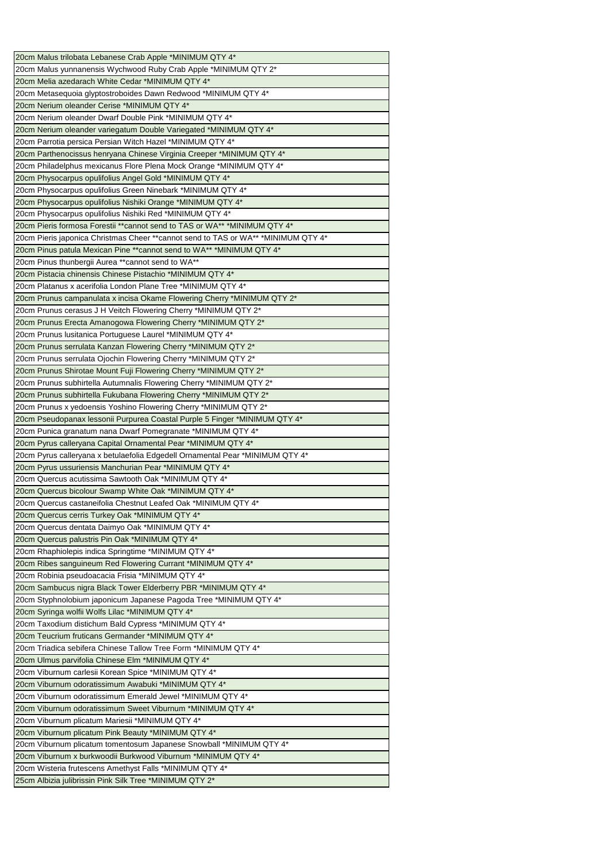| 20cm Malus trilobata Lebanese Crab Apple *MINIMUM QTY 4*                            |
|-------------------------------------------------------------------------------------|
| 20cm Malus yunnanensis Wychwood Ruby Crab Apple *MINIMUM QTY 2*                     |
| 20cm Melia azedarach White Cedar *MINIMUM QTY 4*                                    |
| 20cm Metasequoia glyptostroboides Dawn Redwood *MINIMUM QTY 4*                      |
| 20cm Nerium oleander Cerise *MINIMUM QTY 4*                                         |
| 20cm Nerium oleander Dwarf Double Pink *MINIMUM QTY 4*                              |
| 20cm Nerium oleander variegatum Double Variegated *MINIMUM QTY 4*                   |
| 20cm Parrotia persica Persian Witch Hazel *MINIMUM QTY 4*                           |
| 20cm Parthenocissus henryana Chinese Virginia Creeper *MINIMUM QTY 4*               |
| 20cm Philadelphus mexicanus Flore Plena Mock Orange *MINIMUM QTY 4*                 |
| 20cm Physocarpus opulifolius Angel Gold *MINIMUM QTY 4*                             |
|                                                                                     |
| 20cm Physocarpus opulifolius Green Ninebark *MINIMUM QTY 4*                         |
| 20cm Physocarpus opulifolius Nishiki Orange *MINIMUM QTY 4*                         |
| 20cm Physocarpus opulifolius Nishiki Red *MINIMUM QTY 4*                            |
| 20cm Pieris formosa Forestii **cannot send to TAS or WA** *MINIMUM QTY 4*           |
| 20cm Pieris japonica Christmas Cheer ** cannot send to TAS or WA** * MINIMUM QTY 4* |
| 20cm Pinus patula Mexican Pine ** cannot send to WA** * MINIMUM QTY 4*              |
| 20cm Pinus thunbergii Aurea ** cannot send to WA**                                  |
| 20cm Pistacia chinensis Chinese Pistachio *MINIMUM QTY 4*                           |
| 20cm Platanus x acerifolia London Plane Tree *MINIMUM QTY 4*                        |
| 20cm Prunus campanulata x incisa Okame Flowering Cherry *MINIMUM QTY 2*             |
| 20cm Prunus cerasus J H Veitch Flowering Cherry *MINIMUM QTY 2*                     |
| 20cm Prunus Erecta Amanogowa Flowering Cherry *MINIMUM QTY 2*                       |
| 20cm Prunus Iusitanica Portuguese Laurel *MINIMUM QTY 4*                            |
| 20cm Prunus serrulata Kanzan Flowering Cherry *MINIMUM QTY 2*                       |
| 20cm Prunus serrulata Ojochin Flowering Cherry *MINIMUM QTY 2*                      |
| 20cm Prunus Shirotae Mount Fuji Flowering Cherry *MINIMUM QTY 2*                    |
| 20cm Prunus subhirtella Autumnalis Flowering Cherry *MINIMUM QTY 2*                 |
| 20cm Prunus subhirtella Fukubana Flowering Cherry *MINIMUM QTY 2*                   |
| 20cm Prunus x yedoensis Yoshino Flowering Cherry *MINIMUM QTY 2*                    |
| 20cm Pseudopanax lessonii Purpurea Coastal Purple 5 Finger *MINIMUM QTY 4*          |
| 20cm Punica granatum nana Dwarf Pomegranate *MINIMUM QTY 4*                         |
| 20cm Pyrus calleryana Capital Ornamental Pear *MINIMUM QTY 4*                       |
| 20cm Pyrus calleryana x betulaefolia Edgedell Ornamental Pear *MINIMUM QTY 4*       |
| 20cm Pyrus ussuriensis Manchurian Pear *MINIMUM QTY 4*                              |
| 20cm Quercus acutissima Sawtooth Oak *MINIMUM QTY 4*                                |
| 20cm Quercus bicolour Swamp White Oak *MINIMUM QTY 4*                               |
| 20cm Quercus castaneifolia Chestnut Leafed Oak *MINIMUM QTY 4*                      |
| 20cm Quercus cerris Turkey Oak *MINIMUM QTY 4*                                      |
| 20cm Quercus dentata Daimyo Oak *MINIMUM QTY 4*                                     |
| 20cm Quercus palustris Pin Oak *MINIMUM QTY 4*                                      |
| 20cm Rhaphiolepis indica Springtime *MINIMUM QTY 4*                                 |
| 20cm Ribes sanguineum Red Flowering Currant *MINIMUM QTY 4*                         |
| 20cm Robinia pseudoacacia Frisia *MINIMUM QTY 4*                                    |
| 20cm Sambucus nigra Black Tower Elderberry PBR *MINIMUM QTY 4*                      |
| 20cm Styphnolobium japonicum Japanese Pagoda Tree *MINIMUM QTY 4*                   |
| 20cm Syringa wolfii Wolfs Lilac *MINIMUM QTY 4*                                     |
|                                                                                     |
| 20cm Taxodium distichum Bald Cypress *MINIMUM QTY 4*                                |
| 20cm Teucrium fruticans Germander *MINIMUM QTY 4*                                   |
| 20cm Triadica sebifera Chinese Tallow Tree Form *MINIMUM QTY 4*                     |
| 20cm Ulmus parvifolia Chinese Elm *MINIMUM QTY 4*                                   |
| 20cm Viburnum carlesii Korean Spice *MINIMUM QTY 4*                                 |
| 20cm Viburnum odoratissimum Awabuki *MINIMUM QTY 4*                                 |
| 20cm Viburnum odoratissimum Emerald Jewel *MINIMUM QTY 4*                           |
| 20cm Viburnum odoratissimum Sweet Viburnum *MINIMUM QTY 4*                          |
| 20cm Viburnum plicatum Mariesii *MINIMUM QTY 4*                                     |
| 20cm Viburnum plicatum Pink Beauty *MINIMUM QTY 4*                                  |
| 20cm Viburnum plicatum tomentosum Japanese Snowball *MINIMUM QTY 4*                 |
| 20cm Viburnum x burkwoodii Burkwood Viburnum *MINIMUM QTY 4*                        |
| 20cm Wisteria frutescens Amethyst Falls *MINIMUM QTY 4*                             |
| 25cm Albizia julibrissin Pink Silk Tree *MINIMUM QTY 2*                             |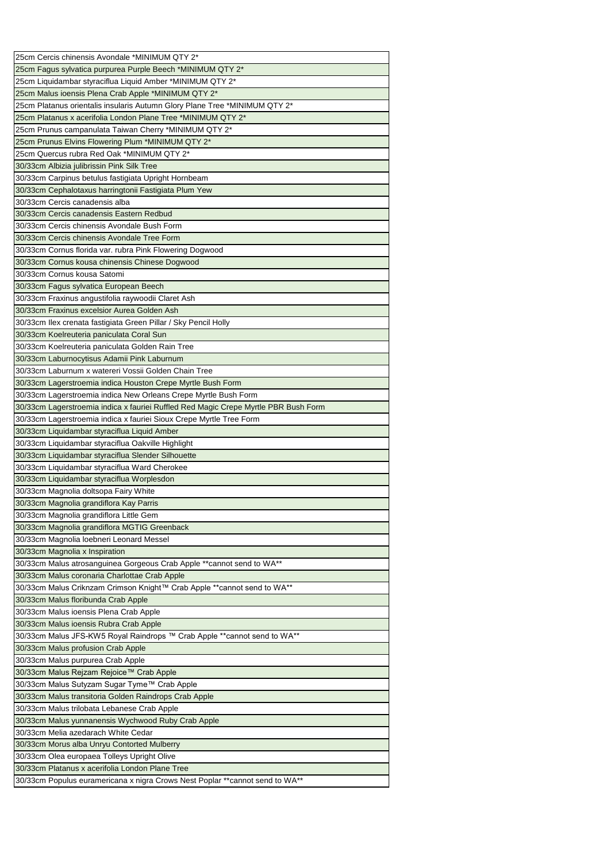| 25cm Cercis chinensis Avondale *MINIMUM QTY 2*                                                    |
|---------------------------------------------------------------------------------------------------|
| 25cm Fagus sylvatica purpurea Purple Beech *MINIMUM QTY 2*                                        |
| 25cm Liquidambar styraciflua Liquid Amber *MINIMUM QTY 2*                                         |
|                                                                                                   |
| 25cm Malus ioensis Plena Crab Apple *MINIMUM QTY 2*                                               |
| 25cm Platanus orientalis insularis Autumn Glory Plane Tree *MINIMUM QTY 2*                        |
| 25cm Platanus x acerifolia London Plane Tree *MINIMUM QTY 2*                                      |
| 25cm Prunus campanulata Taiwan Cherry *MINIMUM QTY 2*                                             |
| 25cm Prunus Elvins Flowering Plum *MINIMUM QTY 2*                                                 |
| 25cm Quercus rubra Red Oak *MINIMUM QTY 2*                                                        |
| 30/33cm Albizia julibrissin Pink Silk Tree                                                        |
| 30/33cm Carpinus betulus fastigiata Upright Hornbeam                                              |
| 30/33cm Cephalotaxus harringtonii Fastigiata Plum Yew                                             |
| 30/33cm Cercis canadensis alba                                                                    |
| 30/33cm Cercis canadensis Eastern Redbud                                                          |
| 30/33cm Cercis chinensis Avondale Bush Form                                                       |
| 30/33cm Cercis chinensis Avondale Tree Form                                                       |
| 30/33cm Cornus florida var. rubra Pink Flowering Dogwood                                          |
| 30/33cm Cornus kousa chinensis Chinese Dogwood                                                    |
| 30/33cm Cornus kousa Satomi                                                                       |
|                                                                                                   |
| 30/33cm Fagus sylvatica European Beech                                                            |
| 30/33cm Fraxinus angustifolia raywoodii Claret Ash<br>30/33cm Fraxinus excelsior Aurea Golden Ash |
|                                                                                                   |
| 30/33cm Ilex crenata fastigiata Green Pillar / Sky Pencil Holly                                   |
| 30/33cm Koelreuteria paniculata Coral Sun                                                         |
| 30/33cm Koelreuteria paniculata Golden Rain Tree                                                  |
| 30/33cm Laburnocytisus Adamii Pink Laburnum                                                       |
| 30/33cm Laburnum x watereri Vossii Golden Chain Tree                                              |
| 30/33cm Lagerstroemia indica Houston Crepe Myrtle Bush Form                                       |
| 30/33cm Lagerstroemia indica New Orleans Crepe Myrtle Bush Form                                   |
| 30/33cm Lagerstroemia indica x fauriei Ruffled Red Magic Crepe Myrtle PBR Bush Form               |
| 30/33cm Lagerstroemia indica x fauriei Sioux Crepe Myrtle Tree Form                               |
| 30/33cm Liquidambar styraciflua Liquid Amber                                                      |
| 30/33cm Liquidambar styraciflua Oakville Highlight                                                |
| 30/33cm Liquidambar styraciflua Slender Silhouette                                                |
| 30/33cm Liquidambar styraciflua Ward Cherokee                                                     |
| 30/33cm Liquidambar styraciflua Worplesdon                                                        |
| 30/33cm Magnolia doltsopa Fairy White                                                             |
| 30/33cm Magnolia grandiflora Kay Parris                                                           |
| 30/33cm Magnolia grandiflora Little Gem                                                           |
| 30/33cm Magnolia grandiflora MGTIG Greenback                                                      |
| 30/33cm Magnolia loebneri Leonard Messel                                                          |
| 30/33cm Magnolia x Inspiration                                                                    |
| 30/33cm Malus atrosanguinea Gorgeous Crab Apple ** cannot send to WA**                            |
| 30/33cm Malus coronaria Charlottae Crab Apple                                                     |
| 30/33cm Malus Criknzam Crimson Knight™ Crab Apple **cannot send to WA**                           |
|                                                                                                   |
| 30/33cm Malus floribunda Crab Apple                                                               |
| 30/33cm Malus ioensis Plena Crab Apple                                                            |
| 30/33cm Malus ioensis Rubra Crab Apple                                                            |
| 30/33cm Malus JFS-KW5 Royal Raindrops ™ Crab Apple **cannot send to WA**                          |
| 30/33cm Malus profusion Crab Apple                                                                |
| 30/33cm Malus purpurea Crab Apple                                                                 |
| 30/33cm Malus Rejzam Rejoice™ Crab Apple                                                          |
| 30/33cm Malus Sutyzam Sugar Tyme™ Crab Apple                                                      |
| 30/33cm Malus transitoria Golden Raindrops Crab Apple                                             |
| 30/33cm Malus trilobata Lebanese Crab Apple                                                       |
| 30/33cm Malus yunnanensis Wychwood Ruby Crab Apple                                                |
| 30/33cm Melia azedarach White Cedar                                                               |
| 30/33cm Morus alba Unryu Contorted Mulberry                                                       |
| 30/33cm Olea europaea Tolleys Upright Olive                                                       |
| 30/33cm Platanus x acerifolia London Plane Tree                                                   |
| 30/33cm Populus euramericana x nigra Crows Nest Poplar ** cannot send to WA**                     |
|                                                                                                   |